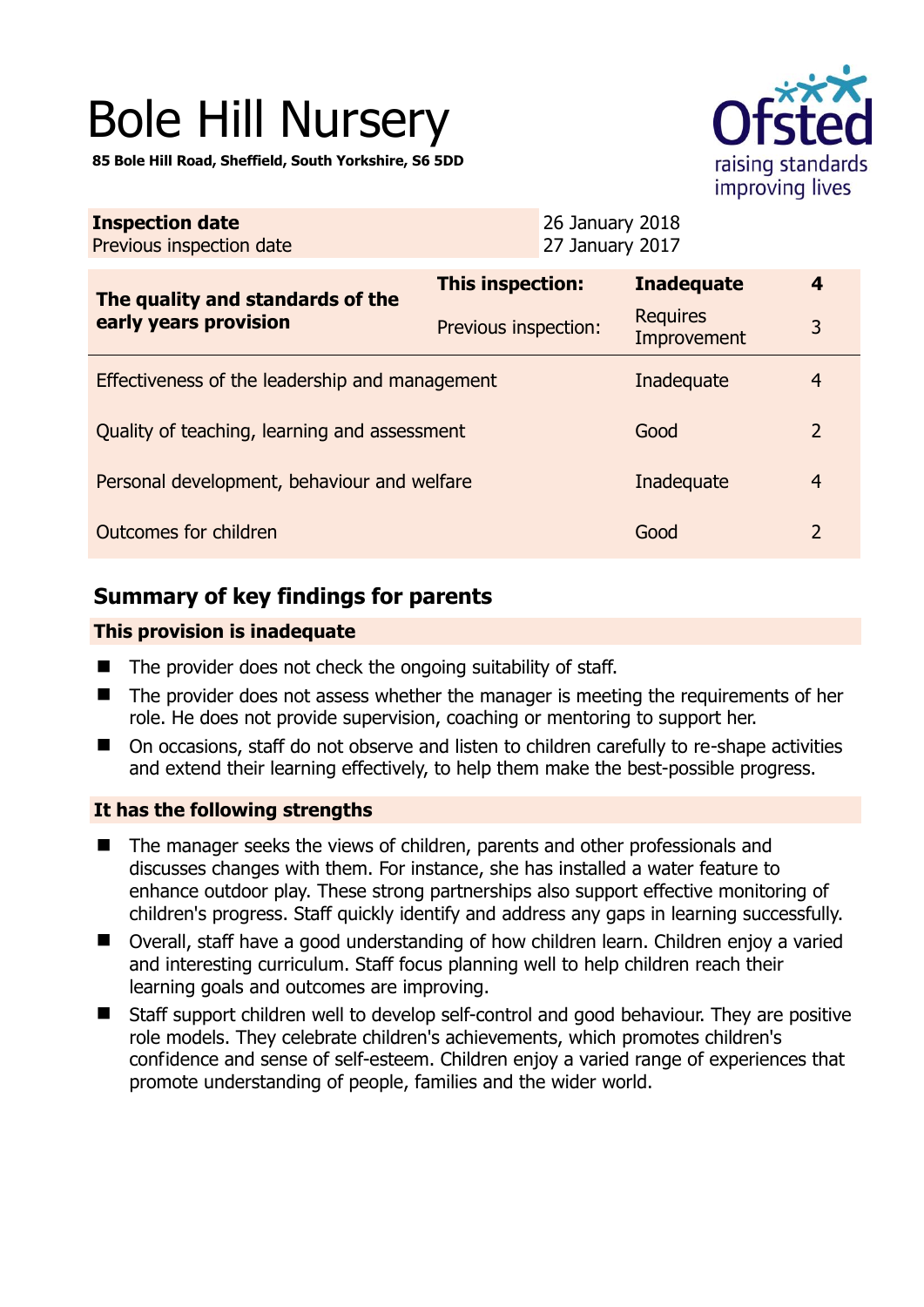# Bole Hill Nursery

**85 Bole Hill Road, Sheffield, South Yorkshire, S6 5DD** 



| <b>Inspection date</b><br>Previous inspection date        | 26 January 2018<br>27 January 2017 |                                |                |
|-----------------------------------------------------------|------------------------------------|--------------------------------|----------------|
| The quality and standards of the<br>early years provision | This inspection:                   | <b>Inadequate</b>              | $\overline{4}$ |
|                                                           | Previous inspection:               | <b>Requires</b><br>Improvement | 3              |
| Effectiveness of the leadership and management            | Inadequate                         | $\overline{4}$                 |                |
| Quality of teaching, learning and assessment              | Good                               | 2                              |                |
| Personal development, behaviour and welfare               | Inadequate                         | $\overline{4}$                 |                |
| Outcomes for children                                     | Good                               | $\overline{2}$                 |                |

# **Summary of key findings for parents**

# **This provision is inadequate**

- $\blacksquare$  The provider does not check the ongoing suitability of staff.
- The provider does not assess whether the manager is meeting the requirements of her role. He does not provide supervision, coaching or mentoring to support her.
- On occasions, staff do not observe and listen to children carefully to re-shape activities and extend their learning effectively, to help them make the best-possible progress.

# **It has the following strengths**

- The manager seeks the views of children, parents and other professionals and discusses changes with them. For instance, she has installed a water feature to enhance outdoor play. These strong partnerships also support effective monitoring of children's progress. Staff quickly identify and address any gaps in learning successfully.
- Overall, staff have a good understanding of how children learn. Children enjoy a varied and interesting curriculum. Staff focus planning well to help children reach their learning goals and outcomes are improving.
- Staff support children well to develop self-control and good behaviour. They are positive role models. They celebrate children's achievements, which promotes children's confidence and sense of self-esteem. Children enjoy a varied range of experiences that promote understanding of people, families and the wider world.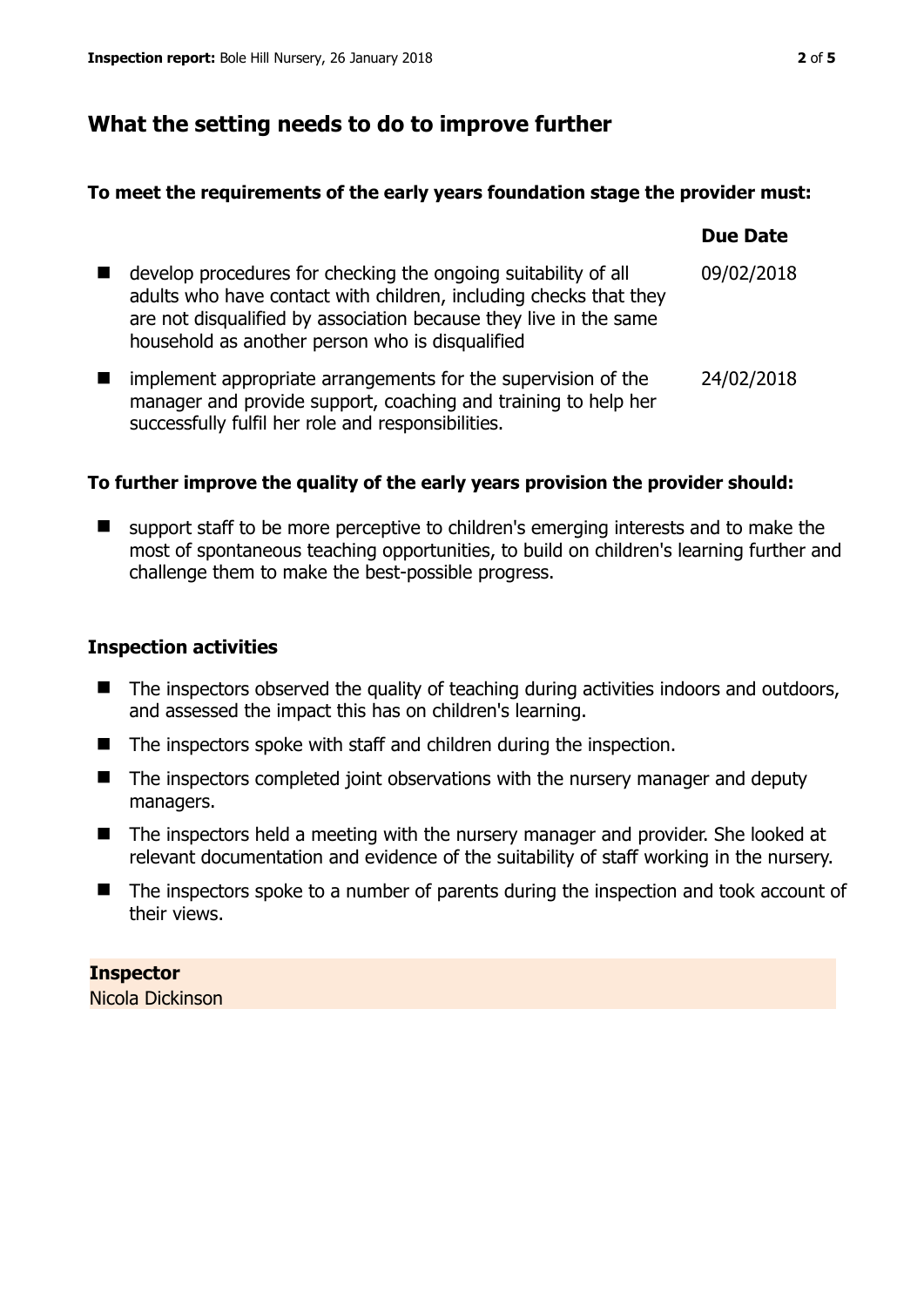# **What the setting needs to do to improve further**

## **To meet the requirements of the early years foundation stage the provider must:**

|                                                                                                                                                                                                                                                             | <b>Due Date</b> |
|-------------------------------------------------------------------------------------------------------------------------------------------------------------------------------------------------------------------------------------------------------------|-----------------|
| develop procedures for checking the ongoing suitability of all<br>adults who have contact with children, including checks that they<br>are not disqualified by association because they live in the same<br>household as another person who is disqualified | 09/02/2018      |
| implement appropriate arrangements for the supervision of the<br>manager and provide support, coaching and training to help her<br>successfully fulfil her role and responsibilities.                                                                       | 24/02/2018      |

# **To further improve the quality of the early years provision the provider should:**

■ support staff to be more perceptive to children's emerging interests and to make the most of spontaneous teaching opportunities, to build on children's learning further and challenge them to make the best-possible progress.

# **Inspection activities**

- $\blacksquare$  The inspectors observed the quality of teaching during activities indoors and outdoors, and assessed the impact this has on children's learning.
- The inspectors spoke with staff and children during the inspection.
- $\blacksquare$  The inspectors completed joint observations with the nursery manager and deputy managers.
- The inspectors held a meeting with the nursery manager and provider. She looked at relevant documentation and evidence of the suitability of staff working in the nursery.
- The inspectors spoke to a number of parents during the inspection and took account of their views.

#### **Inspector**  Nicola Dickinson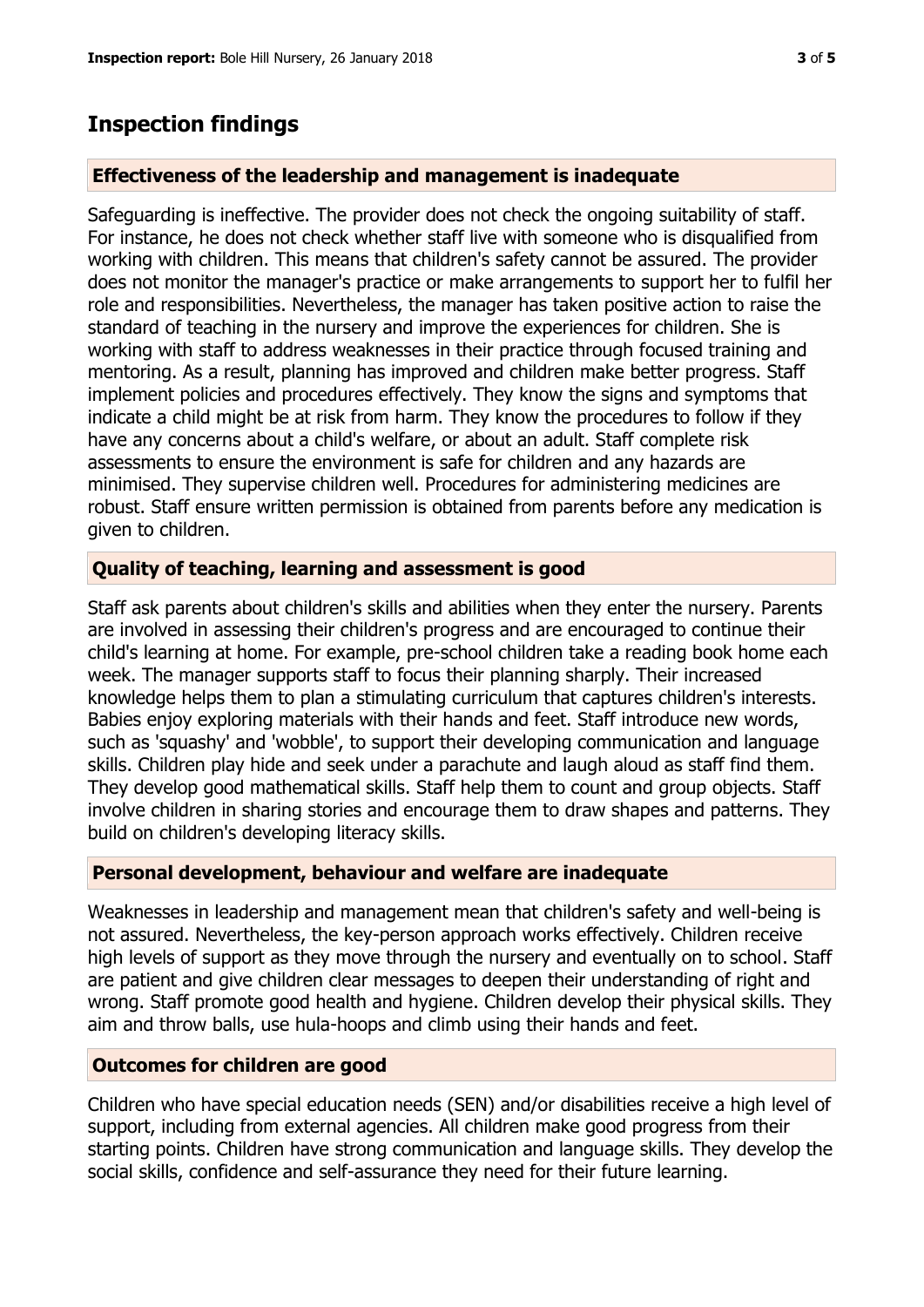# **Inspection findings**

#### **Effectiveness of the leadership and management is inadequate**

Safeguarding is ineffective. The provider does not check the ongoing suitability of staff. For instance, he does not check whether staff live with someone who is disqualified from working with children. This means that children's safety cannot be assured. The provider does not monitor the manager's practice or make arrangements to support her to fulfil her role and responsibilities. Nevertheless, the manager has taken positive action to raise the standard of teaching in the nursery and improve the experiences for children. She is working with staff to address weaknesses in their practice through focused training and mentoring. As a result, planning has improved and children make better progress. Staff implement policies and procedures effectively. They know the signs and symptoms that indicate a child might be at risk from harm. They know the procedures to follow if they have any concerns about a child's welfare, or about an adult. Staff complete risk assessments to ensure the environment is safe for children and any hazards are minimised. They supervise children well. Procedures for administering medicines are robust. Staff ensure written permission is obtained from parents before any medication is given to children.

## **Quality of teaching, learning and assessment is good**

Staff ask parents about children's skills and abilities when they enter the nursery. Parents are involved in assessing their children's progress and are encouraged to continue their child's learning at home. For example, pre-school children take a reading book home each week. The manager supports staff to focus their planning sharply. Their increased knowledge helps them to plan a stimulating curriculum that captures children's interests. Babies enjoy exploring materials with their hands and feet. Staff introduce new words, such as 'squashy' and 'wobble', to support their developing communication and language skills. Children play hide and seek under a parachute and laugh aloud as staff find them. They develop good mathematical skills. Staff help them to count and group objects. Staff involve children in sharing stories and encourage them to draw shapes and patterns. They build on children's developing literacy skills.

# **Personal development, behaviour and welfare are inadequate**

Weaknesses in leadership and management mean that children's safety and well-being is not assured. Nevertheless, the key-person approach works effectively. Children receive high levels of support as they move through the nursery and eventually on to school. Staff are patient and give children clear messages to deepen their understanding of right and wrong. Staff promote good health and hygiene. Children develop their physical skills. They aim and throw balls, use hula-hoops and climb using their hands and feet.

# **Outcomes for children are good**

Children who have special education needs (SEN) and/or disabilities receive a high level of support, including from external agencies. All children make good progress from their starting points. Children have strong communication and language skills. They develop the social skills, confidence and self-assurance they need for their future learning.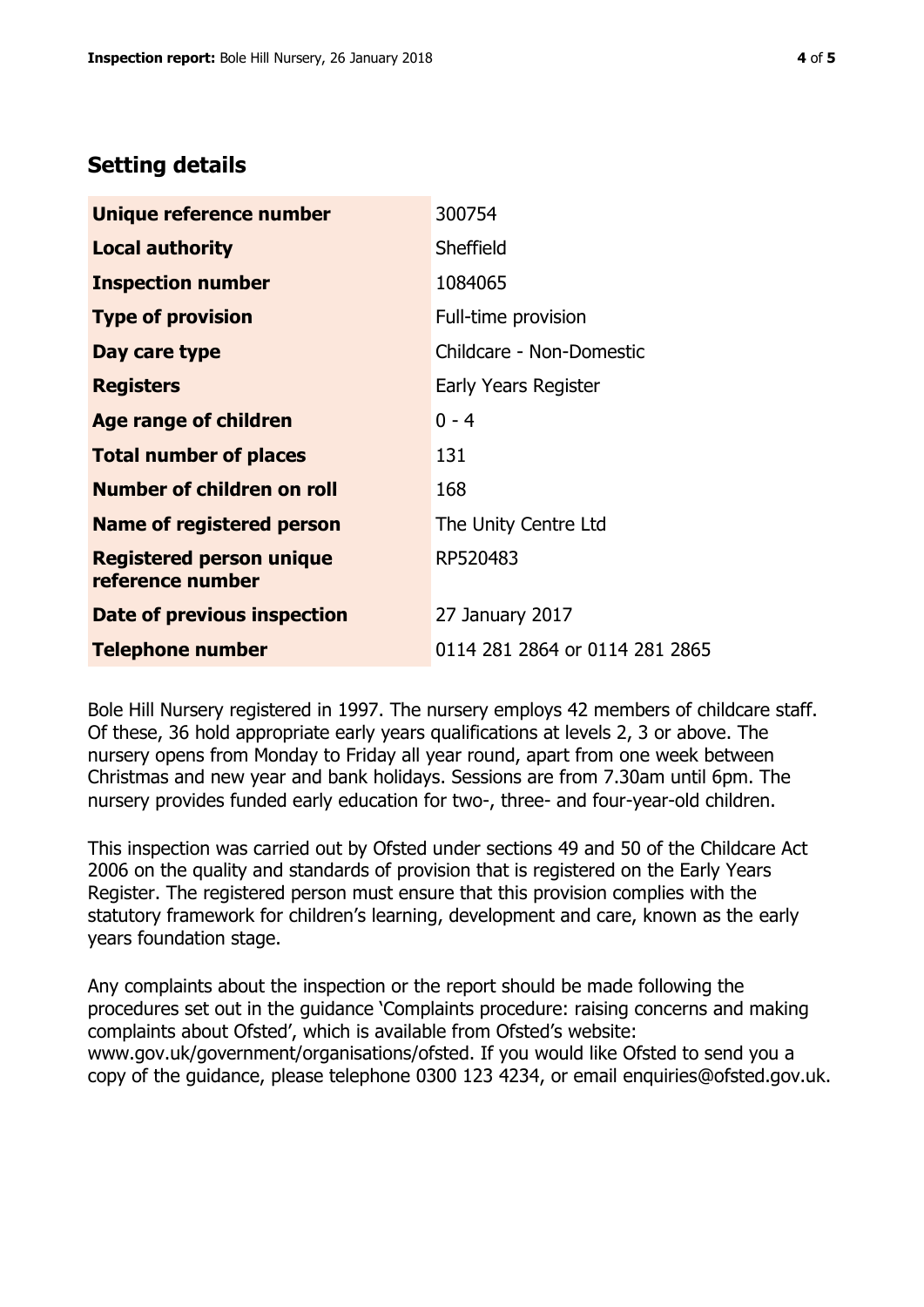# **Setting details**

| Unique reference number                             | 300754                         |
|-----------------------------------------------------|--------------------------------|
| <b>Local authority</b>                              | Sheffield                      |
| <b>Inspection number</b>                            | 1084065                        |
| <b>Type of provision</b>                            | Full-time provision            |
| Day care type                                       | Childcare - Non-Domestic       |
| <b>Registers</b>                                    | Early Years Register           |
| <b>Age range of children</b>                        | $0 - 4$                        |
| <b>Total number of places</b>                       | 131                            |
| Number of children on roll                          | 168                            |
| Name of registered person                           | The Unity Centre Ltd           |
| <b>Registered person unique</b><br>reference number | RP520483                       |
| Date of previous inspection                         | 27 January 2017                |
| <b>Telephone number</b>                             | 0114 281 2864 or 0114 281 2865 |

Bole Hill Nursery registered in 1997. The nursery employs 42 members of childcare staff. Of these, 36 hold appropriate early years qualifications at levels 2, 3 or above. The nursery opens from Monday to Friday all year round, apart from one week between Christmas and new year and bank holidays. Sessions are from 7.30am until 6pm. The nursery provides funded early education for two-, three- and four-year-old children.

This inspection was carried out by Ofsted under sections 49 and 50 of the Childcare Act 2006 on the quality and standards of provision that is registered on the Early Years Register. The registered person must ensure that this provision complies with the statutory framework for children's learning, development and care, known as the early years foundation stage.

Any complaints about the inspection or the report should be made following the procedures set out in the guidance 'Complaints procedure: raising concerns and making complaints about Ofsted', which is available from Ofsted's website: www.gov.uk/government/organisations/ofsted. If you would like Ofsted to send you a copy of the guidance, please telephone 0300 123 4234, or email enquiries@ofsted.gov.uk.